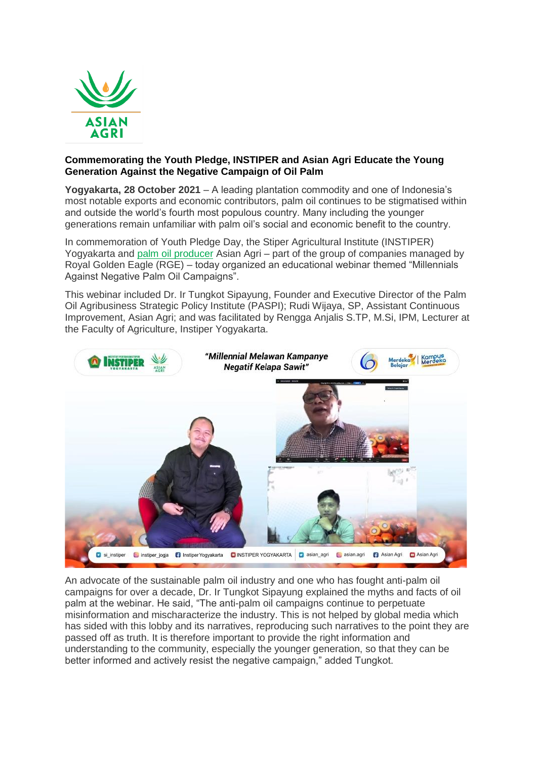

## **Commemorating the Youth Pledge, INSTIPER and Asian Agri Educate the Young Generation Against the Negative Campaign of Oil Palm**

**Yogyakarta, 28 October 2021** – A leading plantation commodity and one of Indonesia's most notable exports and economic contributors, palm oil continues to be stigmatised within and outside the world's fourth most populous country. Many including the younger generations remain unfamiliar with palm oil's social and economic benefit to the country.

In commemoration of Youth Pledge Day, the Stiper Agricultural Institute (INSTIPER) Yogyakarta and [palm oil producer](https://www.asianagri.com/en/about-us) Asian Agri – part of the group of companies managed by Royal Golden Eagle (RGE) – today organized an educational webinar themed "Millennials Against Negative Palm Oil Campaigns".

This webinar included Dr. Ir Tungkot Sipayung, Founder and Executive Director of the Palm Oil Agribusiness Strategic Policy Institute (PASPI); Rudi Wijaya, SP, Assistant Continuous Improvement, Asian Agri; and was facilitated by Rengga Anjalis S.TP, M.Si, IPM, Lecturer at the Faculty of Agriculture, Instiper Yogyakarta.



An advocate of the sustainable palm oil industry and one who has fought anti-palm oil campaigns for over a decade, Dr. Ir Tungkot Sipayung explained the myths and facts of oil palm at the webinar. He said, "The anti-palm oil campaigns continue to perpetuate misinformation and mischaracterize the industry. This is not helped by global media which has sided with this lobby and its narratives, reproducing such narratives to the point they are passed off as truth. It is therefore important to provide the right information and understanding to the community, especially the younger generation, so that they can be better informed and actively resist the negative campaign," added Tungkot.